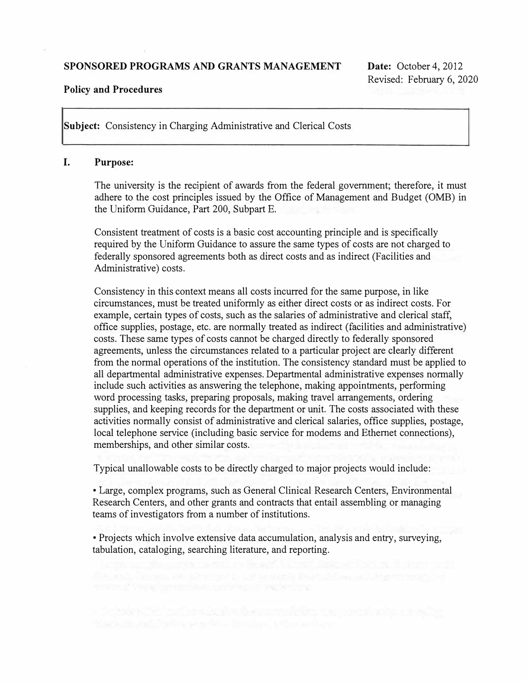### **SPONSORED PROGRAMS AND GRANTS MANAGEMENT**

### **Policy and Procedures**

**Subject:** Consistency in Charging Administrative and Clerical Costs

### **I. Purpose:**

The university is the recipient of awards from the federal government; therefore, it must adhere to the cost principles issued by the Office of Management and Budget (0MB) in the Uniform Guidance, Part 200, Subpart E.

Consistent treatment of costs is a basic cost accounting principle and is specifically required by the Uniform Guidance to assure the same types of costs are not charged to federally sponsored agreements both as direct costs and as indirect (Facilities and Administrative) costs.

Consistency in this context means all costs incurred for the same purpose, in like circumstances, must be treated uniformly as either direct costs or as indirect costs. For example, certain types of costs, such as the salaries of administrative and clerical staff, office supplies, postage, etc. are normally treated as indirect (facilities and administrative) costs. These same types of costs cannot be charged directly to federally sponsored agreements, unless the circumstances related to a particular project are clearly different from the normal operations of the institution. The consistency standard must be applied to all departmental administrative expenses. Departmental administrative expenses normally include such activities as answering the telephone, making appointments, performing word processing tasks, preparing proposals, making travel arrangements, ordering supplies, and keeping records for the department or unit. The costs associated with these activities normally consist of administrative and clerical salaries, office supplies, postage, local telephone service (including basic service for modems and Ethernet connections), memberships, and other similar costs.

Typical unallowable costs to be directly charged to major projects would include:

• Large, complex programs, such as General Clinical Research Centers, Environmental Research Centers, and other grants and contracts that entail assembling or managing teams of investigators from a number of institutions.

• Projects which involve extensive data accumulation, analysis and entry, surveying, tabulation, cataloging, searching literature, and reporting.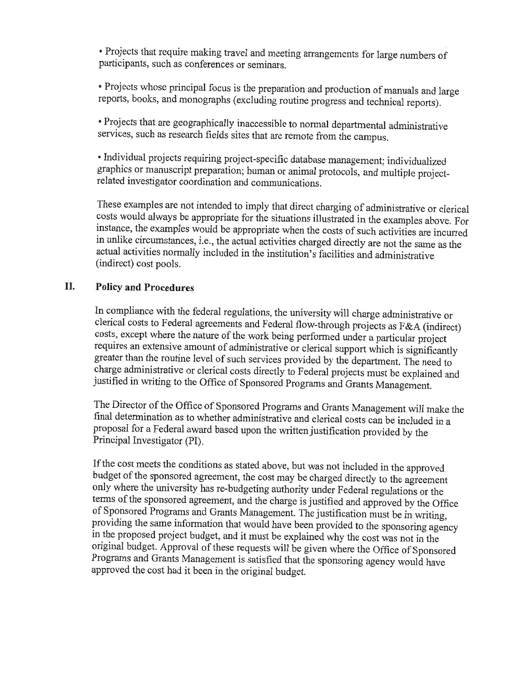• Projects that require making travel and meeting arrangements for large numbers of participants, such as conferences or seminars.

• Projects whose principal focus is the preparation and production of manuals and large reports, books, and monographs (excluding routine progress and technical reports).

• Projects that are geographically inaccessible to normal departmental administrative services, such as research fields sites that are remote from the campus.

· Individual projects requiring project-specific database management; individualized graphics or manuscript preparation; human or animal protocols, and multiple projectrelated investigator coordination and communications.

These examples are not intended to imply that direct charging of administrative or clerical costs would always be appropriate for the situations illustrated in the examples above. For instance, the examples would be appropriate when the costs of such activities are incurred in unlike circumstances, i.e., the actual activities charged directly are not the same as the actual activities normally included in the institution's facilities and administrative (indirect) cost pools.

#### II. **Policy and Procedures**

In compliance with the federal regulations, the university will charge administrative or clerical costs to Federal agreements and Federal flow-through projects as F&A (indirect) costs, except where the nature of the work being performed under a particular project requires an extensive amount of administrative or clerical support which is significantly greater than the routine level of such services provided by the department. The need to charge administrative or clerical costs directly to Federal projects must be explained and justified in writing to the Office of Sponsored Programs and Grants Management.

The Director of the Office of Sponsored Programs and Grants Management will make the final determination as to whether administrative and clerical costs can be included in a proposal for a Federal award based upon the written justification provided by the Principal Investigator (PI).

If the cost meets the conditions as stated above, but was not included in the approved budget of the sponsored agreement, the cost may be charged directly to the agreement only where the university has re-budgeting authority under Federal regulations or the terms of the sponsored agreement, and the charge is justified and approved by the Office of Sponsored Programs and Grants Management. The justification must be in writing, providing the same information that would have been provided to the sponsoring agency in the proposed project budget, and it must be explained why the cost was not in the original budget. Approval of these requests will be given where the Office of Sponsored Programs and Grants Management is satisfied that the sponsoring agency would have approved the cost had it been in the original budget.